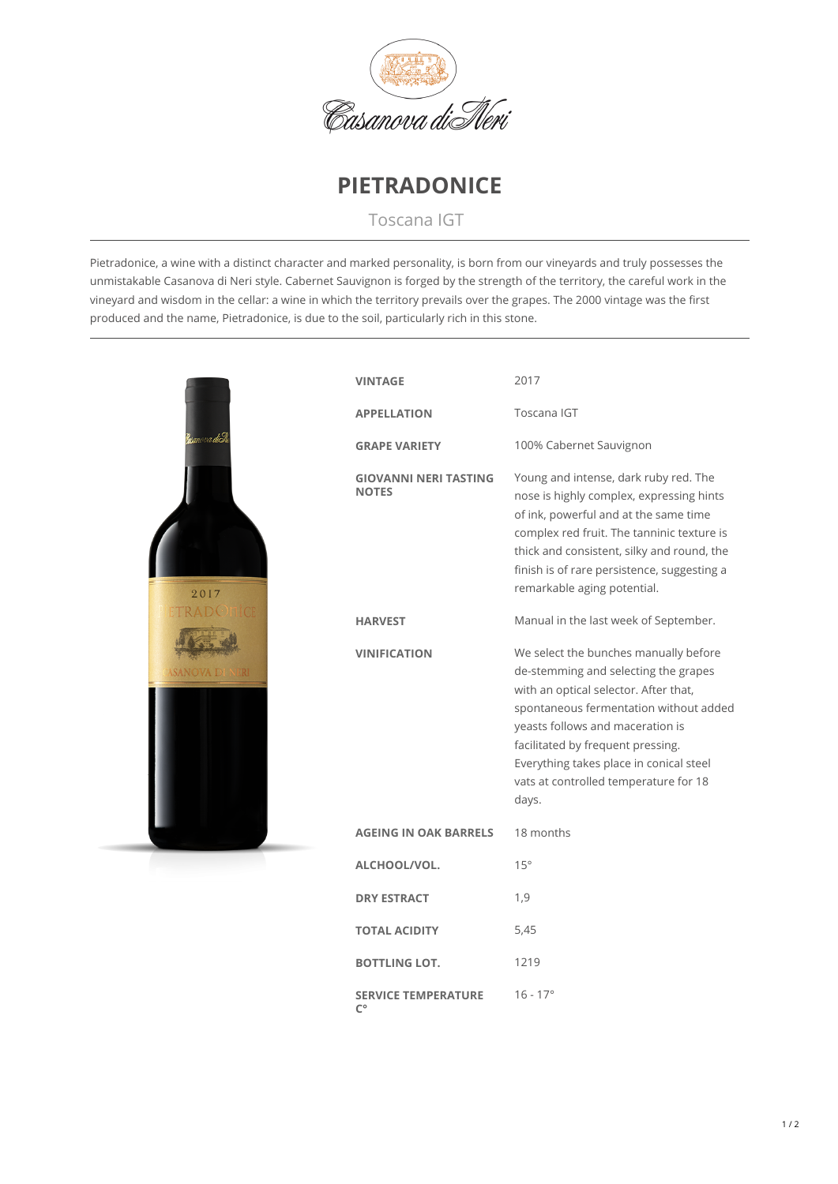



Toscana IGT

Pietradonice, a wine with a distinct character and marked personality, is born from our vineyards and truly possesses the unmistakable Casanova di Neri style. Cabernet Sauvignon is forged by the strength of the territory, the careful work in the vineyard and wisdom in the cellar: a wine in which the territory prevails over the grapes. The 2000 vintage was the first produced and the name, Pietradonice, is due to the soil, particularly rich in this stone.